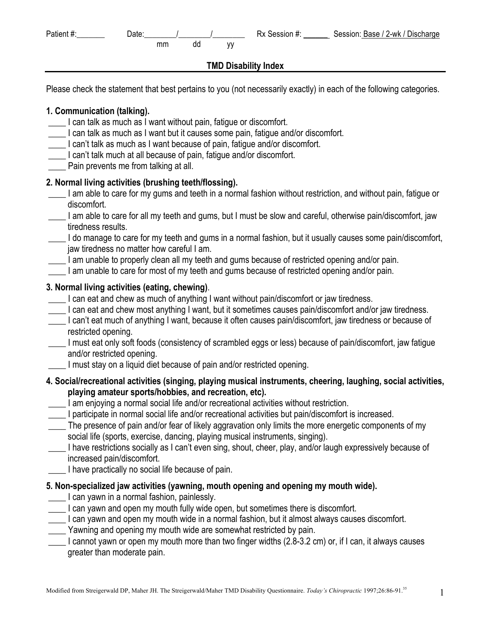| Patient #: | Date: |    |    | Rx Session #: | Session: Base / 2-wk / Discharge |
|------------|-------|----|----|---------------|----------------------------------|
|            |       | mm | aa |               |                                  |

#### **TMD Disability Index**

Please check the statement that best pertains to you (not necessarily exactly) in each of the following categories.

#### **1. Communication (talking).**

- \_\_\_\_ I can talk as much as I want without pain, fatigue or discomfort.
- \_\_\_\_ I can talk as much as I want but it causes some pain, fatigue and/or discomfort.
- \_\_\_\_ I can't talk as much as I want because of pain, fatigue and/or discomfort.
- \_\_\_\_ I can't talk much at all because of pain, fatigue and/or discomfort.
- Pain prevents me from talking at all.

#### **2. Normal living activities (brushing teeth/flossing).**

- \_\_\_\_ I am able to care for my gums and teeth in a normal fashion without restriction, and without pain, fatigue or discomfort.
- I am able to care for all my teeth and gums, but I must be slow and careful, otherwise pain/discomfort, jaw tiredness results.
- \_\_\_\_ I do manage to care for my teeth and gums in a normal fashion, but it usually causes some pain/discomfort, jaw tiredness no matter how careful I am.
- \_\_\_\_ I am unable to properly clean all my teeth and gums because of restricted opening and/or pain.
- \_\_\_\_ I am unable to care for most of my teeth and gums because of restricted opening and/or pain.

#### **3. Normal living activities (eating, chewing)**.

- \_\_\_\_ I can eat and chew as much of anything I want without pain/discomfort or jaw tiredness.
- Let can eat and chew most anything I want, but it sometimes causes pain/discomfort and/or jaw tiredness.
- \_\_\_\_ I can't eat much of anything I want, because it often causes pain/discomfort, jaw tiredness or because of restricted opening.
- \_\_\_\_ I must eat only soft foods (consistency of scrambled eggs or less) because of pain/discomfort, jaw fatigue and/or restricted opening.
- \_\_\_\_ I must stay on a liquid diet because of pain and/or restricted opening.
- **4. Social/recreational activities (singing, playing musical instruments, cheering, laughing, social activities, playing amateur sports/hobbies, and recreation, etc).**
- \_\_\_\_ I am enjoying a normal social life and/or recreational activities without restriction.
- \_\_\_\_ I participate in normal social life and/or recreational activities but pain/discomfort is increased.
- \_\_\_\_ The presence of pain and/or fear of likely aggravation only limits the more energetic components of my social life (sports, exercise, dancing, playing musical instruments, singing).
- \_\_\_\_ I have restrictions socially as I can't even sing, shout, cheer, play, and/or laugh expressively because of increased pain/discomfort.
- I have practically no social life because of pain.

#### **5. Non-specialized jaw activities (yawning, mouth opening and opening my mouth wide).**

- **Lackter 1 can yawn in a normal fashion, painlessly.**
- \_\_\_\_ I can yawn and open my mouth fully wide open, but sometimes there is discomfort.
- \_\_\_\_ I can yawn and open my mouth wide in a normal fashion, but it almost always causes discomfort.
- \_\_\_\_ Yawning and opening my mouth wide are somewhat restricted by pain.
- \_\_\_\_ I cannot yawn or open my mouth more than two finger widths (2.8-3.2 cm) or, if I can, it always causes greater than moderate pain.